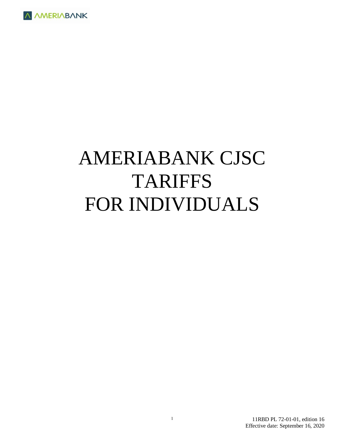

# AMERIABANK CJSC TARIFFS FOR INDIVIDUALS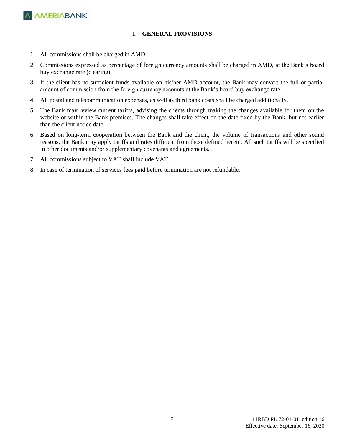

#### 1. **GENERAL PROVISIONS**

- 1. All commissions shall be charged in AMD.
- 2. Commissions expressed as percentage of foreign currency amounts shall be charged in AMD, at the Bank's board buy exchange rate (clearing).
- 3. If the client has no sufficient funds available on his/her AMD account, the Bank may convert the full or partial amount of commission from the foreign currency accounts at the Bank's board buy exchange rate.
- 4. All postal and telecommunication expenses, as well as third bank costs shall be charged additionally.
- 5. The Bank may review current tariffs, advising the clients through making the changes available for them on the website or within the Bank premises. The changes shall take effect on the date fixed by the Bank, but not earlier than the client notice date.
- 6. Based on long-term cooperation between the Bank and the client, the volume of transactions and other sound reasons, the Bank may apply tariffs and rates different from those defined herein. All such tariffs will be specified in other documents and/or supplementary covenants and agreements.
- 7. All commissions subject to VAT shall include VAT.
- 8. In case of termination of services fees paid before termination are not refundable.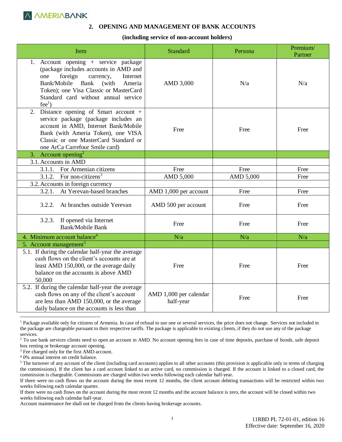#### **2. OPENING AND MANAGEMENT OF BANK ACCOUNTS**

#### **(including service of non-account holders)**

| Item                                                                                                                                                                                                                                                                   | <b>Standard</b>                     | Persona   | Premium/<br>Partner |
|------------------------------------------------------------------------------------------------------------------------------------------------------------------------------------------------------------------------------------------------------------------------|-------------------------------------|-----------|---------------------|
| 1. Account opening + service package<br>(package includes accounts in AMD and<br>foreign<br>currency,<br>Internet<br>one<br>Bank/Mobile Bank<br>(with)<br>Ameria<br>Token); one Visa Classic or MasterCard<br>Standard card without annual service<br>fee <sup>1</sup> | AMD 3,000                           | N/a       | N/a                 |
| Distance opening of Smart account +<br>2.<br>service package (package includes an<br>account in AMD, Internet Bank/Mobile<br>Bank (with Ameria Token), one VISA<br>Classic or one MasterCard Standard or<br>one ArCa Carrefour Smile card)                             | Free                                | Free      | Free                |
| 3. Account opening <sup>2</sup>                                                                                                                                                                                                                                        |                                     |           |                     |
| 3.1. Accounts in AMD                                                                                                                                                                                                                                                   |                                     |           |                     |
| For Armenian citizens<br>3.1.1.                                                                                                                                                                                                                                        | Free                                | Free      | Free                |
| For non-citizens <sup>3</sup><br>3.1.2.                                                                                                                                                                                                                                | AMD 5,000                           | AMD 5,000 | Free                |
| 3.2. Accounts in foreign currency                                                                                                                                                                                                                                      |                                     |           |                     |
| At Yerevan-based branches<br>3.2.1.                                                                                                                                                                                                                                    | AMD 1,000 per account               | Free      | Free                |
| At branches outside Yerevan<br>3.2.2.                                                                                                                                                                                                                                  | AMD 500 per account                 | Free      | Free                |
| If opened via Internet<br>3.2.3.<br>Bank/Mobile Bank                                                                                                                                                                                                                   | Free                                | Free      | Free                |
| 4. Minimum account balance <sup>4</sup>                                                                                                                                                                                                                                | N/a                                 | N/a       | N/a                 |
| 5. Account management <sup>5</sup>                                                                                                                                                                                                                                     |                                     |           |                     |
| 5.1. If during the calendar half-year the average<br>cash flows on the client's accounts are at<br>least AMD 150,000, or the average daily<br>balance on the accounts is above AMD<br>50,000                                                                           | Free                                | Free      | Free                |
| 5.2. If during the calendar half-year the average<br>cash flows on any of the client's account<br>are less than AMD 150,000, or the average<br>daily balance on the accounts is less than                                                                              | AMD 1,000 per calendar<br>half-year | Free      | Free                |

<sup>1</sup> Package available only for citizens of Armenia. In case of refusal to use one or several services, the price does not change. Services not included in the package are chargeable pursuant to their respective tariffs. The package is applicable to existing clients, if they do not use any of the package services.

<sup>2</sup> To use bank services clients need to open an account in AMD. No account opening fees in case of time deposits, purchase of bonds, safe deposit box renting or brokerage account opening.

<sup>3</sup> Fee charged only for the first AMD account.

<sup>4</sup> 0% annual interest on credit balance.

<sup>&</sup>lt;sup>5</sup> The turnover of any account of the client (including card accounts) applies to all other accounts (this provision is applicable only in terms of charging the commissions). If the client has a card account linked to an active card, no commission is charged. If the account is linked to a closed card, the commission is chargeable. Commissions are charged within two weeks following each calendar half-year.

If there were no cash flows on the account during the most recent 12 months, the client account debiting transactions will be restricted within two weeks following each calendar quarter.

If there were no cash flows on the account during the most recent 12 months and the account balance is zero, the account will be closed within two weeks following each calendar half-year.

Account maintenance fee shall not be charged from the clients having brokerage accounts.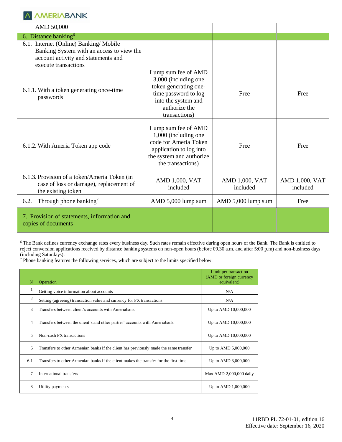$\overline{a}$ 

| AMD 50,000                                                                                                                                        |                                                                                                                                                       |                            |                            |
|---------------------------------------------------------------------------------------------------------------------------------------------------|-------------------------------------------------------------------------------------------------------------------------------------------------------|----------------------------|----------------------------|
| 6. Distance banking $6$                                                                                                                           |                                                                                                                                                       |                            |                            |
| 6.1. Internet (Online) Banking/Mobile<br>Banking System with an access to view the<br>account activity and statements and<br>execute transactions |                                                                                                                                                       |                            |                            |
| 6.1.1. With a token generating once-time<br>passwords                                                                                             | Lump sum fee of AMD<br>3,000 (including one<br>token generating one-<br>time password to log<br>into the system and<br>authorize the<br>transactions) | Free                       | Free                       |
| 6.1.2. With Ameria Token app code                                                                                                                 | Lump sum fee of AMD<br>1,000 (including one<br>code for Ameria Token<br>application to log into<br>the system and authorize<br>the transactions)      | Free                       | Free                       |
| 6.1.3. Provision of a token/Ameria Token (in<br>case of loss or damage), replacement of<br>the existing token                                     | AMD 1,000, VAT<br>included                                                                                                                            | AMD 1,000, VAT<br>included | AMD 1,000, VAT<br>included |
| Through phone banking <sup>7</sup><br>6.2.                                                                                                        | AMD 5,000 lump sum                                                                                                                                    | AMD 5,000 lump sum         | Free                       |
| 7. Provision of statements, information and<br>copies of documents                                                                                |                                                                                                                                                       |                            |                            |

<sup>6</sup> The Bank defines currency exchange rates every business day. Such rates remain effective during open hours of the Bank. The Bank is entitled to reject conversion applications received by distance banking systems on non-open hours (before 09.30 a.m. and after 5:00 p.m) and non-business days (including Saturdays).

<sup>7</sup> Phone banking features the following services, which are subject to the limits specified below:

| N              | Operation                                                                             | Limit per transaction<br>(AMD or foreign currency<br>equivalent) |
|----------------|---------------------------------------------------------------------------------------|------------------------------------------------------------------|
| 1              | Getting voice information about accounts                                              | N/A                                                              |
| $\overline{c}$ | Setting (agreeing) transaction value and currency for FX transactions                 | N/A                                                              |
| 3              | Transfers between client's accounts with Ameriabank                                   | Up to AMD 10,000,000                                             |
| 4              | Transfers between the client's and other parties' accounts with Ameriabank            | Up to AMD 10,000,000                                             |
| 5              | Non-cash FX transactions                                                              | Up to AMD 10,000,000                                             |
| 6              | Transfers to other Armenian banks if the client has previously made the same transfer | Up to AMD 5,000,000                                              |
| 6.1            | Transfers to other Armenian banks if the client makes the transfer for the first time | Up to AMD 3,000,000                                              |
| $\tau$         | International transfers                                                               | Max AMD 2,000,000 daily                                          |
| 8              | Utility payments                                                                      | Up to AMD 1,000,000                                              |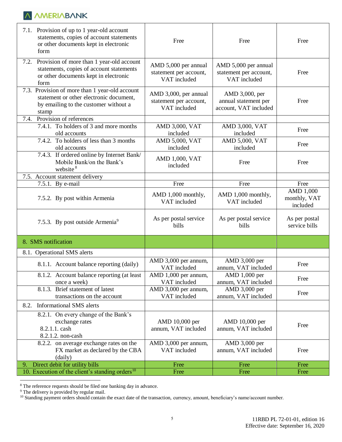| 7.1. Provision of up to 1 year-old account<br>statements, copies of account statements<br>or other documents kept in electronic<br>form        | Free                                                            | Free                                                            | Free                                  |
|------------------------------------------------------------------------------------------------------------------------------------------------|-----------------------------------------------------------------|-----------------------------------------------------------------|---------------------------------------|
| Provision of more than 1 year-old account<br>7.2.<br>statements, copies of account statements<br>or other documents kept in electronic<br>form | AMD 5,000 per annual<br>statement per account,<br>VAT included  | AMD 5,000 per annual<br>statement per account,<br>VAT included  | Free                                  |
| 7.3. Provision of more than 1 year-old account<br>statement or other electronic document,<br>by emailing to the customer without a<br>stamp    | AMD 3,000, per annual<br>statement per account,<br>VAT included | AMD 3,000, per<br>annual statement per<br>account, VAT included | Free                                  |
| Provision of references<br>7.4.                                                                                                                |                                                                 |                                                                 |                                       |
| 7.4.1. To holders of 3 and more months<br>old accounts                                                                                         | AMD 3,000, VAT<br>included                                      | AMD 3,000, VAT<br>included                                      | Free                                  |
| 7.4.2. To holders of less than 3 months<br>old accounts                                                                                        | AMD 5,000, VAT<br>included                                      | AMD 5,000, VAT<br>included                                      | Free                                  |
| 7.4.3. If ordered online by Internet Bank/<br>Mobile Bank/on the Bank's<br>website <sup>8</sup>                                                | AMD 1,000, VAT<br>included                                      | Free                                                            | Free                                  |
| 7.5. Account statement delivery                                                                                                                |                                                                 |                                                                 |                                       |
| 7.5.1. By e-mail                                                                                                                               | Free                                                            | Free                                                            | Free                                  |
| 7.5.2. By post within Armenia                                                                                                                  | AMD 1,000 monthly,<br>VAT included                              | AMD 1,000 monthly,<br>VAT included                              | AMD 1,000<br>monthly, VAT<br>included |
| 7.5.3. By post outside Armenia <sup>9</sup>                                                                                                    | As per postal service<br>bills                                  | As per postal service<br>bills                                  | As per postal<br>service bills        |
| 8. SMS notification                                                                                                                            |                                                                 |                                                                 |                                       |
| 8.1. Operational SMS alerts                                                                                                                    |                                                                 |                                                                 |                                       |
| 8.1.1. Account balance reporting (daily)                                                                                                       | AMD 3,000 per annum,<br>VAT included                            | AMD 3,000 per<br>annum, VAT included                            | Free                                  |
| 8.1.2. Account balance reporting (at least<br>once a week)                                                                                     | AMD 1,000 per annum,<br>VAT included                            | AMD 1,000 per<br>annum, VAT included                            | Free                                  |
| 8.1.3. Brief statement of latest<br>transactions on the account                                                                                | AMD 3,000 per annum,<br>VAT included                            | AMD 3,000 per<br>annum, VAT included                            | Free                                  |
| 8.2.<br><b>Informational SMS</b> alerts                                                                                                        |                                                                 |                                                                 |                                       |
| 8.2.1. On every change of the Bank's                                                                                                           |                                                                 |                                                                 |                                       |
| exchange rates                                                                                                                                 | AMD 10,000 per                                                  | AMD 10,000 per                                                  |                                       |
| 8.2.1.1. cash                                                                                                                                  | annum, VAT included                                             | annum, VAT included                                             | Free                                  |
| 8.2.1.2. non-cash                                                                                                                              |                                                                 |                                                                 |                                       |
| 8.2.2. on average exchange rates on the                                                                                                        | AMD 3,000 per annum,                                            | AMD 3,000 per                                                   |                                       |
| FX market as declared by the CBA                                                                                                               | VAT included                                                    | annum, VAT included                                             | Free                                  |
| (daily)                                                                                                                                        |                                                                 |                                                                 |                                       |
| Direct debit for utility bills<br>9.<br>10. Execution of the client's standing orders <sup>10</sup>                                            | Free<br>Free                                                    | Free<br>Free                                                    | Free<br>Free                          |

<sup>&</sup>lt;sup>8</sup> The reference requests should be filed one banking day in advance.

<sup>&</sup>lt;sup>9</sup> The delivery is provided by regular mail.

<sup>&</sup>lt;sup>10</sup> Standing payment orders should contain the exact date of the transaction, currency, amount, beneficiary's name/account number.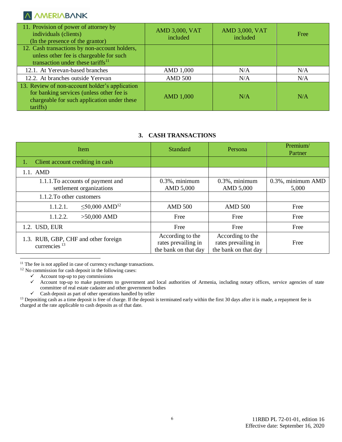| 11. Provision of power of attorney by<br>individuals (clients)<br>(In the presence of the grantor)                                                     | <b>AMD 3,000, VAT</b><br>included | <b>AMD 3,000, VAT</b><br>included | Free |
|--------------------------------------------------------------------------------------------------------------------------------------------------------|-----------------------------------|-----------------------------------|------|
| 12. Cash transactions by non-account holders,<br>unless other fee is chargeable for such                                                               |                                   |                                   |      |
| transaction under these tariffs $^{11}$                                                                                                                |                                   |                                   |      |
| 12.1. At Yerevan-based branches                                                                                                                        | AMD 1,000                         | N/A                               | N/A  |
| 12.2. At branches outside Yerevan                                                                                                                      | <b>AMD 500</b>                    | N/A                               | N/A  |
| 13. Review of non-account holder's application<br>for banking services (unless other fee is<br>chargeable for such application under these<br>tariffs) | <b>AMD 1,000</b>                  | N/A                               | N/A  |

## **3. CASH TRANSACTIONS**

| Item                                                             | <b>Standard</b>                                                 | Persona                                                         | Premium/<br>Partner        |
|------------------------------------------------------------------|-----------------------------------------------------------------|-----------------------------------------------------------------|----------------------------|
| Client account crediting in cash                                 |                                                                 |                                                                 |                            |
| 1.1. AMD                                                         |                                                                 |                                                                 |                            |
| 1.1.1. To accounts of payment and<br>settlement organizations    | $0.3\%$ , minimum<br>AMD 5,000                                  | $0.3\%$ , minimum<br>AMD 5,000                                  | 0.3%, minimum AMD<br>5,000 |
| 1.1.2. To other customers                                        |                                                                 |                                                                 |                            |
| $\leq 50,000$ AMD <sup>12</sup><br>1.1.2.1.                      | <b>AMD 500</b>                                                  | <b>AMD 500</b>                                                  | Free                       |
| 1.1.2.2.<br>$>50,000$ AMD                                        | Free                                                            | Free                                                            | Free                       |
| 1.2. USD, EUR                                                    | Free                                                            | Free                                                            | Free                       |
| 1.3. RUB, GBP, CHF and other foreign<br>currencies <sup>13</sup> | According to the<br>rates prevailing in<br>the bank on that day | According to the<br>rates prevailing in<br>the bank on that day | Free                       |

 $11$  The fee is not applied in case of currency exchange transactions.

 $12$  No commission for cash deposit in the following cases:

Account top-up to pay commissions<br>Account top-up to make payments

 $\overline{a}$ 

Account top-up to make payments to government and local authorities of Armenia, including notary offices, service agencies of state committee of real estate cadaster and other government bodies

 $\checkmark$  Cash deposit as part of other operations handled by teller

<sup>13</sup> Depositing cash as a time deposit is free of charge. If the deposit is terminated early within the first 30 days after it is made, a repayment fee is charged at the rate applicable to cash deposits as of that date.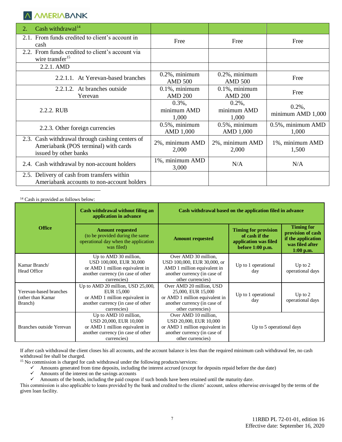| Cash withdrawal <sup>14</sup><br>2.                                                                              |                                     |                                     |                                |
|------------------------------------------------------------------------------------------------------------------|-------------------------------------|-------------------------------------|--------------------------------|
| 2.1. From funds credited to client's account in<br>cash                                                          | Free                                | Free                                | Free                           |
| 2.2. From funds credited to client's account via<br>wire transfer <sup>15</sup>                                  |                                     |                                     |                                |
| 2.2.1. AMD                                                                                                       |                                     |                                     |                                |
| 2.2.1.1. At Yerevan-based branches                                                                               | $0.2\%$ , minimum<br><b>AMD 500</b> | $0.2\%$ , minimum<br><b>AMD 500</b> | Free                           |
| 2.2.1.2. At branches outside<br>Yerevan                                                                          | $0.1\%$ , minimum<br><b>AMD 200</b> | $0.1\%$ , minimum<br><b>AMD 200</b> | Free                           |
| 2.2.2. RUB                                                                                                       | $0.3\%$ ,<br>minimum AMD<br>1,000   | $0.2\%$ ,<br>minimum AMD<br>1,000   | $0.2\%$ ,<br>minimum AMD 1,000 |
| 2.2.3. Other foreign currencies                                                                                  | $0.5\%$ , minimum<br>AMD 1,000      | $0.5\%$ , minimum<br>AMD 1,000      | 0.5%, minimum AMD<br>1,000     |
| 2.3. Cash withdrawal through cashing centers of<br>Ameriabank (POS terminal) with cards<br>issued by other banks | 2%, minimum AMD<br>2,000            | 2%, minimum AMD<br>2,000            | 1%, minimum AMD<br>1,500       |
| 2.4. Cash withdrawal by non-account holders                                                                      | 1%, minimum AMD<br>3,000            | N/A                                 | N/A                            |
| 2.5. Delivery of cash from transfers within<br>Ameriabank accounts to non-account holders                        |                                     |                                     |                                |
|                                                                                                                  |                                     |                                     |                                |

<sup>14</sup> Cash is provided as follows below:

|                                                        | Cash withdrawal without filing an<br>application in advance                                                                             | Cash withdrawal based on the application filed in advance                                                                               |                                                                                              |                                                                                                |  |
|--------------------------------------------------------|-----------------------------------------------------------------------------------------------------------------------------------------|-----------------------------------------------------------------------------------------------------------------------------------------|----------------------------------------------------------------------------------------------|------------------------------------------------------------------------------------------------|--|
| <b>Office</b>                                          | <b>Amount requested</b><br>(to be provided during the same)<br>operational day when the application<br>was filed)                       | <b>Amount requested</b>                                                                                                                 | <b>Timing for provision</b><br>of cash if the<br>application was filed<br>before $1:00$ p.m. | <b>Timing for</b><br>provision of cash<br>if the application<br>was filed after<br>$1:00$ p.m. |  |
| Kamar Branch/<br><b>Head Office</b>                    | Up to AMD 30 million,<br>USD 100,000, EUR 30,000<br>or AMD 1 million equivalent in<br>another currency (in case of other<br>currencies) | Over AMD 30 million,<br>USD 100,000, EUR 30,000, or<br>AMD 1 million equivalent in<br>another currency (in case of<br>other currencies) | Up to 1 operational<br>day                                                                   | Up to $2$<br>operational days                                                                  |  |
| Yerevan-based branches<br>(other than Kamar<br>Branch) | Up to AMD 20 million, USD 25,000,<br>EUR 15,000<br>or AMD 1 million equivalent in<br>another currency (in case of other<br>currencies)  | Over AMD 20 million, USD<br>25,000, EUR 15,000<br>or AMD 1 million equivalent in<br>another currency (in case of<br>other currencies)   | Up to 1 operational<br>day                                                                   | Up to $2$<br>operational days                                                                  |  |
| Branches outside Yerevan                               | Up to AMD 10 million,<br>USD 20,000, EUR 10,000<br>or AMD 1 million equivalent in<br>another currency (in case of other<br>currencies)  | Over AMD 10 million,<br>USD 20,000, EUR 10,000<br>or AMD 1 million equivalent in<br>another currency (in case of<br>other currencies)   | Up to 5 operational days                                                                     |                                                                                                |  |

If after cash withdrawal the client closes his all accounts, and the account balance is less than the required minimum cash withdrawal fee, no cash withdrawal fee shall be charged.

 $15$  No commission is charged for cash withdrawal under the following products/services:

Amounts generated from time deposits, including the interest accrued (except for deposits repaid before the due date)<br>Amounts of the interest on the savings accounts

Amounts of the interest on the savings accounts<br>Amounts of the bonds, including the paid coupor

Amounts of the bonds, including the paid coupon if such bonds have been retained until the maturity date.

This commission is also applicable to loans provided by the bank and credited to the clients' account, unless otherwise envisaged by the terms of the given loan facility.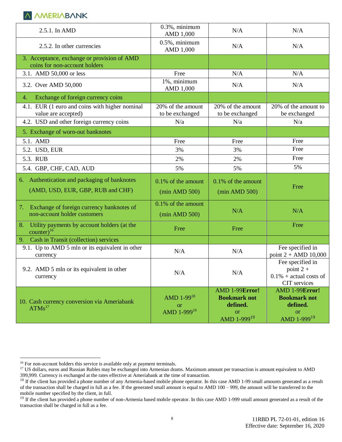| 2.5.1. In AMD                                                                     | $0.3\%$ , minimum<br>AMD 1,000       | N/A                                  | N/A                                                                                            |
|-----------------------------------------------------------------------------------|--------------------------------------|--------------------------------------|------------------------------------------------------------------------------------------------|
| 2.5.2. In other currencies                                                        | $0.5\%$ , minimum<br>AMD 1,000       | N/A                                  |                                                                                                |
| 3. Acceptance, exchange or provision of AMD<br>coins for non-account holders      |                                      |                                      |                                                                                                |
| 3.1. AMD 50,000 or less                                                           | Free                                 | N/A                                  | N/A                                                                                            |
| 3.2. Over AMD 50,000                                                              | 1%, minimum<br>AMD 1,000             | N/A                                  | N/A                                                                                            |
| Exchange of foreign currency coins<br>4.                                          |                                      |                                      |                                                                                                |
| 4.1. EUR (1 euro and coins with higher nominal<br>value are accepted)             | 20% of the amount<br>to be exchanged | 20% of the amount<br>to be exchanged | 20% of the amount to<br>be exchanged                                                           |
| 4.2. USD and other foreign currency coins                                         | N/a                                  | N/a                                  | N/a                                                                                            |
| 5. Exchange of worn-out banknotes                                                 |                                      |                                      |                                                                                                |
| 5.1. AMD                                                                          | Free                                 | Free                                 | Free                                                                                           |
| 5.2. USD, EUR                                                                     | 3%                                   | 3%                                   | Free                                                                                           |
| 5.3. RUB                                                                          | 2%                                   | 2%                                   | Free                                                                                           |
| 5.4. GBP, CHF, CAD, AUD                                                           | 5%                                   | 5%                                   | 5%                                                                                             |
| 6. Authentication and packaging of banknotes<br>(AMD, USD, EUR, GBP, RUB and CHF) | 0.1% of the amount<br>(min AMD 500)  | 0.1% of the amount<br>(min AMD 500)  | Free                                                                                           |
| 7.<br>Exchange of foreign currency banknotes of                                   | 0.1% of the amount                   |                                      |                                                                                                |
| non-account holder customers                                                      | (min AMD 500)                        | N/A                                  | N/A                                                                                            |
| Utility payments by account holders (at the<br>8.                                 | Free                                 | Free                                 | Free                                                                                           |
| $counter)^{16}$<br>Cash in Transit (collection) services<br>9.                    |                                      |                                      |                                                                                                |
| 9.1. Up to AMD 5 mln or its equivalent in other<br>currency                       | N/A                                  | N/A                                  | Fee specified in<br>point $2 + \text{AMD}$ 10,000                                              |
| 9.2. AMD 5 mln or its equivalent in other<br>currency                             | N/A                                  | N/A<br>AMD 1-99Error!                | Fee specified in<br>point $2 +$<br>$0.1\%$ + actual costs of<br>CIT services<br>AMD 1-99Error! |

<span id="page-7-0"></span><sup>&</sup>lt;sup>16</sup> For non-account holders this service is available only at payment terminals.

<sup>&</sup>lt;sup>17</sup> US dollars, euros and Russian Rubles may be exchanged into Armenian drams. Maximum amount per transaction is amount equivalent to AMD 399,999. Currency is exchanged at the rates effective at Ameriabank at the time of transaction.

<sup>&</sup>lt;sup>18</sup> If the client has provided a phone number of any Armenia-based mobile phone operator. In this case AMD 1-99 small amounts generated as a result of the transaction shall be charged in full as a fee. If the generated small amount is equal to AMD 100 – 999, the amount will be transferred to the mobile number specified by the client, in full.

<sup>&</sup>lt;sup>19</sup> If the client has provided a phone number of non-Armenia based mobile operator. In this case AMD 1-999 small amount generated as a result of the transaction shall be charged in full as a fee.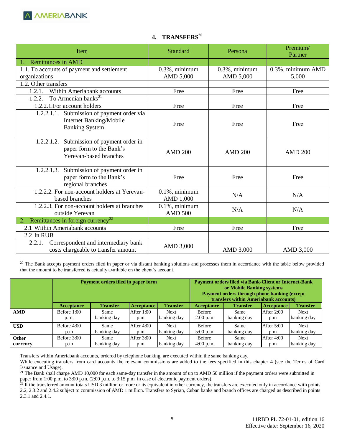

| <b>Remittances in AMD</b><br>1.1. To accounts of payment and settlement<br>$0.3\%$ , minimum<br>$0.3\%$ , minimum<br>AMD 5,000<br>AMD 5,000<br>5,000<br>organizations<br>1.2. Other transfers<br>Within Ameriabank accounts<br>1.2.1.<br>Free<br>Free<br>Free<br>To Armenian banks <sup>21</sup><br>1.2.2.<br>1.2.2.1. For account holders<br>Free<br>Free<br>Free<br>Submission of payment order via<br>1.2.2.1.1.<br>Internet Banking/Mobile<br>Free<br>Free<br>Free<br><b>Banking System</b><br>Submission of payment order in<br>1.2.2.1.2.<br>paper form to the Bank's<br><b>AMD 200</b><br><b>AMD 200</b><br><b>AMD 200</b><br>Yerevan-based branches<br>Submission of payment order in<br>1.2.2.1.3.<br>paper form to the Bank's<br>Free<br>Free<br>Free<br>regional branches<br>1.2.2.2. For non-account holders at Yerevan-<br>$0.1\%$ , minimum<br>N/A<br>N/A<br>based branches<br>AMD 1,000<br>1.2.2.3. For non-account holders at branches<br>$0.1\%$ , minimum<br>N/A<br>N/A<br>outside Yerevan<br><b>AMD 500</b><br>Remittances in foreign currency <sup>22</sup><br>2.1 Within Ameriabank accounts<br>Free<br>Free<br>Free<br>2.2 In RUB<br>2.2.1. | <b>Item</b>                         | <b>Standard</b> | Persona | Premium/<br>Partner |
|-------------------------------------------------------------------------------------------------------------------------------------------------------------------------------------------------------------------------------------------------------------------------------------------------------------------------------------------------------------------------------------------------------------------------------------------------------------------------------------------------------------------------------------------------------------------------------------------------------------------------------------------------------------------------------------------------------------------------------------------------------------------------------------------------------------------------------------------------------------------------------------------------------------------------------------------------------------------------------------------------------------------------------------------------------------------------------------------------------------------------------------------------------------------|-------------------------------------|-----------------|---------|---------------------|
|                                                                                                                                                                                                                                                                                                                                                                                                                                                                                                                                                                                                                                                                                                                                                                                                                                                                                                                                                                                                                                                                                                                                                                   |                                     |                 |         |                     |
|                                                                                                                                                                                                                                                                                                                                                                                                                                                                                                                                                                                                                                                                                                                                                                                                                                                                                                                                                                                                                                                                                                                                                                   |                                     |                 |         | 0.3%, minimum AMD   |
|                                                                                                                                                                                                                                                                                                                                                                                                                                                                                                                                                                                                                                                                                                                                                                                                                                                                                                                                                                                                                                                                                                                                                                   |                                     |                 |         |                     |
|                                                                                                                                                                                                                                                                                                                                                                                                                                                                                                                                                                                                                                                                                                                                                                                                                                                                                                                                                                                                                                                                                                                                                                   |                                     |                 |         |                     |
|                                                                                                                                                                                                                                                                                                                                                                                                                                                                                                                                                                                                                                                                                                                                                                                                                                                                                                                                                                                                                                                                                                                                                                   |                                     |                 |         |                     |
|                                                                                                                                                                                                                                                                                                                                                                                                                                                                                                                                                                                                                                                                                                                                                                                                                                                                                                                                                                                                                                                                                                                                                                   |                                     |                 |         |                     |
|                                                                                                                                                                                                                                                                                                                                                                                                                                                                                                                                                                                                                                                                                                                                                                                                                                                                                                                                                                                                                                                                                                                                                                   |                                     |                 |         |                     |
|                                                                                                                                                                                                                                                                                                                                                                                                                                                                                                                                                                                                                                                                                                                                                                                                                                                                                                                                                                                                                                                                                                                                                                   |                                     |                 |         |                     |
|                                                                                                                                                                                                                                                                                                                                                                                                                                                                                                                                                                                                                                                                                                                                                                                                                                                                                                                                                                                                                                                                                                                                                                   |                                     |                 |         |                     |
|                                                                                                                                                                                                                                                                                                                                                                                                                                                                                                                                                                                                                                                                                                                                                                                                                                                                                                                                                                                                                                                                                                                                                                   |                                     |                 |         |                     |
|                                                                                                                                                                                                                                                                                                                                                                                                                                                                                                                                                                                                                                                                                                                                                                                                                                                                                                                                                                                                                                                                                                                                                                   |                                     |                 |         |                     |
|                                                                                                                                                                                                                                                                                                                                                                                                                                                                                                                                                                                                                                                                                                                                                                                                                                                                                                                                                                                                                                                                                                                                                                   |                                     |                 |         |                     |
|                                                                                                                                                                                                                                                                                                                                                                                                                                                                                                                                                                                                                                                                                                                                                                                                                                                                                                                                                                                                                                                                                                                                                                   |                                     |                 |         |                     |
|                                                                                                                                                                                                                                                                                                                                                                                                                                                                                                                                                                                                                                                                                                                                                                                                                                                                                                                                                                                                                                                                                                                                                                   |                                     |                 |         |                     |
|                                                                                                                                                                                                                                                                                                                                                                                                                                                                                                                                                                                                                                                                                                                                                                                                                                                                                                                                                                                                                                                                                                                                                                   |                                     |                 |         |                     |
| costs chargeable to transfer amount<br>AMD 3,000<br>AMD 3,000                                                                                                                                                                                                                                                                                                                                                                                                                                                                                                                                                                                                                                                                                                                                                                                                                                                                                                                                                                                                                                                                                                     | Correspondent and intermediary bank | AMD 3,000       |         |                     |

## **4. TRANSFERS<sup>20</sup>**

<sup>20</sup> The Bank accepts payment orders filed in paper or via distant banking solutions and processes them in accordance with the table below provided that the amount to be transferred is actually available on the client's account.

|            | Payment orders filed in paper form |                     |                     |                            | <b>Payment orders filed via Bank-Client or Internet-Bank</b><br>or Mobile Banking systems<br>Payment orders through phone banking (except<br>transfers within Ameriabank accounts) |                     |                   |                            |
|------------|------------------------------------|---------------------|---------------------|----------------------------|------------------------------------------------------------------------------------------------------------------------------------------------------------------------------------|---------------------|-------------------|----------------------------|
|            | <b>Acceptance</b>                  | <b>Transfer</b>     | Acceptance          | <b>Transfer</b>            | <b>Acceptance</b>                                                                                                                                                                  | <b>Transfer</b>     | <b>Acceptance</b> | <b>Transfer</b>            |
| <b>AMD</b> | Before 1:00<br>p.m.                | Same<br>banking day | After 1:00<br>p.m   | <b>Next</b><br>banking day | Before<br>2:00 p.m                                                                                                                                                                 | Same<br>banking day | After 2:00<br>p.m | <b>Next</b><br>banking day |
| <b>USD</b> | Before $4:00$<br>p.m               | Same<br>banking day | After $4:00$<br>p.m | <b>Next</b><br>banking day | Before<br>5:00 p.m                                                                                                                                                                 | Same<br>banking day | After 5:00<br>p.m | <b>Next</b><br>banking day |
| Other      | Before 3:00                        | Same                | After 3:00          | <b>Next</b>                | Before                                                                                                                                                                             | Same                | After 4:00        | <b>Next</b>                |
| currency   | p.m                                | banking day         | p.m                 | banking day                | 4:00 p.m                                                                                                                                                                           | banking day         | p.m               | banking day                |

Transfers within Ameriabank accounts, ordered by telephone banking, are executed within the same banking day.

While executing transfers from card accounts the relevant commissions are added to the fees specified in this chapter 4 (see the Terms of Card Issuance and Usage).

<sup>21</sup> The Bank shall charge AMD 10,000 for each same-day transfer in the amount of up to AMD 50 million if the payment orders were submitted in paper from 1:00 p.m. to 3:00 p.m. (2:00 p.m. to 3:15 p.m. in case of electronic payment orders).

 $^{22}$  If the transferred amount totals USD 3 million or more or its equivalent in other currency, the transfers are executed only in accordance with points 2.2, 2.3.2 and 2.4.2 subject to commission of AMD 1 million. Transfers to Syrian, Cuban banks and branch offices are charged as described in points 2.3.1 and 2.4.1.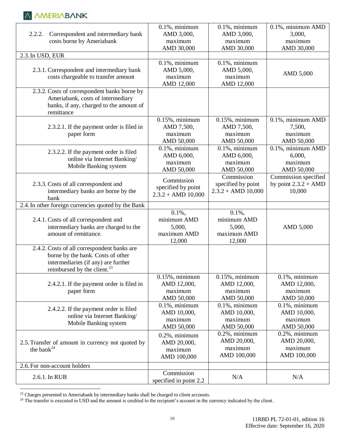| 2.2.2.<br>Correspondent and intermediary bank<br>costs borne by Ameriabank                                                                                         | $0.1\%$ , minimum<br>AMD 3,000,<br>maximum<br>AMD 30,000    | $0.1\%$ , minimum<br>AMD 3,000,<br>maximum<br>AMD 30,000    | 0.1%, minimum AMD<br>3,000,<br>maximum<br>AMD 30,000       |
|--------------------------------------------------------------------------------------------------------------------------------------------------------------------|-------------------------------------------------------------|-------------------------------------------------------------|------------------------------------------------------------|
| 2.3. In USD, EUR                                                                                                                                                   |                                                             |                                                             |                                                            |
| 2.3.1. Correspondent and intermediary bank<br>costs chargeable to transfer amount                                                                                  | $0.1\%$ , minimum<br>AMD 5,000,<br>maximum<br>AMD 12,000    | $0.1\%$ , minimum<br>AMD 5,000,<br>maximum<br>AMD 12,000    | AMD 5,000                                                  |
| 2.3.2. Costs of correspondent banks borne by<br>Ameriabank, costs of intermediary<br>banks, if any, charged to the amount of<br>remittance                         |                                                             |                                                             |                                                            |
| 2.3.2.1. If the payment order is filed in<br>paper form                                                                                                            | $0.15\%$ , minimum<br>AMD 7,500,<br>maximum<br>AMD 50,000   | $0.15\%$ , minimum<br>AMD 7,500,<br>maximum<br>AMD 50,000   | 0.1%, minimum AMD<br>7,500,<br>maximum<br>AMD 50,000       |
| 2.3.2.2. If the payment order is filed<br>online via Internet Banking/<br>Mobile Banking system                                                                    | $0.1\%$ , minimum<br>AMD 6,000,<br>maximum<br>AMD 50,000    | $0.1\%$ , minimum<br>AMD 6,000,<br>maximum<br>AMD 50,000    | 0.1%, minimum AMD<br>6,000,<br>maximum<br>AMD 50,000       |
| 2.3.3. Costs of all correspondent and<br>intermediary banks are borne by the<br>bank                                                                               | Commission<br>specified by point<br>$2.3.2 + AMD$ 10,000    | Commission<br>specified by point<br>$2.3.2 + AMD$ 10,000    | Commission specified<br>by point $2.3.2 + AMD$<br>10,000   |
| 2.4. In other foreign currencies quoted by the Bank                                                                                                                |                                                             |                                                             |                                                            |
| 2.4.1. Costs of all correspondent and<br>intermediary banks are charged to the<br>amount of remittance.                                                            | $0.1\%$ ,<br>minimum AMD<br>5,000,<br>maximum AMD<br>12,000 | $0.1\%$ ,<br>minimum AMD<br>5,000,<br>maximum AMD<br>12,000 | AMD 5,000                                                  |
| 2.4.2. Costs of all correspondent banks are<br>borne by the bank. Costs of other<br>intermediaries (if any) are further<br>reimbursed by the client. <sup>23</sup> |                                                             |                                                             |                                                            |
| 2.4.2.1. If the payment order is filed in<br>paper form                                                                                                            | $0.15\%$ , minimum<br>AMD 12,000,<br>maximum<br>AMD 50,000  | $0.15\%$ , minimum<br>AMD 12,000,<br>maximum<br>AMD 50,000  | $0.1\%$ , minimum<br>AMD 12,000,<br>maximum<br>AMD 50,000  |
| 2.4.2.2. If the payment order is filed<br>online via Internet Banking/<br>Mobile Banking system                                                                    | $0.1\%$ , minimum<br>AMD 10,000,<br>maximum<br>AMD 50,000   | $0.1\%$ , minimum<br>AMD 10,000,<br>maximum<br>AMD 50,000   | $0.1\%$ , minimum<br>AMD 10,000,<br>maximum<br>AMD 50,000  |
| 2.5. Transfer of amount in currency not quoted by<br>the bank $^{24}$                                                                                              | $0.2\%$ , minimum<br>AMD 20,000,<br>maximum<br>AMD 100,000  | $0.2\%$ , minimum<br>AMD 20,000,<br>maximum<br>AMD 100,000  | $0.2\%$ , minimum<br>AMD 20,000,<br>maximum<br>AMD 100,000 |
| 2.6. For non-account holders                                                                                                                                       |                                                             |                                                             |                                                            |
| 2.6.1. In RUB                                                                                                                                                      | Commission<br>specified in point 2.2                        | N/A                                                         | N/A                                                        |

<sup>&</sup>lt;sup>23</sup> Charges presented to Ameriabank by intermediary banks shall be charged to client accounts.

 $^{24}$  The transfer is executed in USD and the amount is credited to the recipient's account in the currency indicated by the client.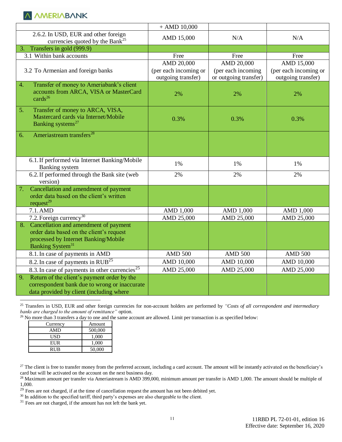|                                                                   | $+$ AMD 10,000        |                       |                       |
|-------------------------------------------------------------------|-----------------------|-----------------------|-----------------------|
| 2.6.2. In USD, EUR and other foreign                              | AMD 15,000            | N/A                   | N/A                   |
| currencies quoted by the Bank <sup>25</sup>                       |                       |                       |                       |
| Transfers in gold (999.9)<br>3.                                   |                       |                       |                       |
| 3.1 Within bank accounts                                          | Free                  | Free                  | Free                  |
|                                                                   | AMD 20,000            | AMD 20,000            | AMD 15,000            |
| 3.2 To Armenian and foreign banks                                 | (per each incoming or | (per each incoming    | (per each incoming or |
|                                                                   | outgoing transfer)    | or outgoing transfer) | outgoing transfer)    |
| Transfer of money to Ameriabank's client<br>$\overline{4}$ .      |                       |                       |                       |
| accounts from ARCA, VISA or MasterCard                            | 2%                    | 2%                    | 2%                    |
| cards <sup>26</sup>                                               |                       |                       |                       |
| 5.<br>Transfer of money to ARCA, VISA,                            |                       |                       |                       |
| Mastercard cards via Internet/Mobile                              | 0.3%                  | 0.3%                  | 0.3%                  |
| Banking systems <sup>27</sup>                                     |                       |                       |                       |
| Ameriastream transfers <sup>28</sup><br>6.                        |                       |                       |                       |
|                                                                   |                       |                       |                       |
|                                                                   |                       |                       |                       |
|                                                                   |                       |                       |                       |
| 6.1. If performed via Internet Banking/Mobile                     | 1%                    | 1%                    | 1%                    |
| <b>Banking</b> system                                             |                       |                       |                       |
| 6.2. If performed through the Bank site (web                      | 2%                    | 2%                    | 2%                    |
| version)                                                          |                       |                       |                       |
| Cancellation and amendment of payment<br>7.                       |                       |                       |                       |
| order data based on the client's written<br>request <sup>29</sup> |                       |                       |                       |
| 7.1.AMD                                                           | AMD 1,000             | AMD 1,000             | AMD 1,000             |
| 7.2. Foreign currency <sup>30</sup>                               | AMD 25,000            | AMD 25,000            | AMD 25,000            |
| 8. Cancellation and amendment of payment                          |                       |                       |                       |
| order data based on the client's request                          |                       |                       |                       |
| processed by Internet Banking/Mobile                              |                       |                       |                       |
| Banking System <sup>31</sup>                                      |                       |                       |                       |
| 8.1. In case of payments in AMD                                   | <b>AMD 500</b>        | <b>AMD 500</b>        | <b>AMD 500</b>        |
| 8.2. In case of payments in $RUB^{25}$                            | AMD 10,000            | AMD 10,000            | AMD 10,000            |
| 8.3. In case of payments in other currencies <sup>25</sup>        | AMD 25,000            | AMD 25,000            | AMD 25,000            |
| Return of the client's payment order by the<br>9.                 |                       |                       |                       |
| correspondent bank due to wrong or inaccurate                     |                       |                       |                       |
| data provided by client (including where                          |                       |                       |                       |

 $\overline{a}$ <sup>25</sup> Transfers in USD, EUR and other foreign currencies for non-account holders are performed by *"Costs of all correspondent and intermediary banks are charged to the amount of remittance"* option.

<sup>26</sup> No more than 3 transfers a day to one and the same account are allowed. Limit per transaction is as specified below:

| Currency | Amount  |
|----------|---------|
| AMD      | 500,000 |
| USD      | 1.000   |
| EUR      | 1,000   |
| RUB      | 50,000  |

<sup>27</sup> The client is free to transfer money from the preferred account, including a card account. The amount will be instantly activated on the beneficiary's card but will be activated on the account on the next business day.

 $^{28}$  Maximum amount per transfer via Ameriastream is AMD 399,000, minimum amount per transfer is AMD 1,000. The amount should be multiple of 1,000.

 $29$  Fees are not charged, if at the time of cancellation request the amount has not been debited yet.

 $30$  In addition to the specified tariff, third party's expenses are also chargeable to the client.

 $31$  Fees are not charged, if the amount has not left the bank yet.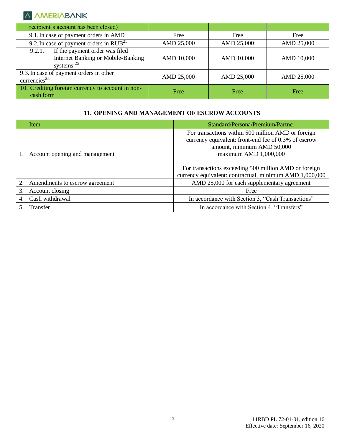| recipient's account has been closed)                                                           |            |            |            |
|------------------------------------------------------------------------------------------------|------------|------------|------------|
| 9.1. In case of payment orders in AMD                                                          | Free       | Free       | Free       |
| 9.2. In case of payment orders in $RUB^{25}$                                                   | AMD 25,000 | AMD 25,000 | AMD 25,000 |
| If the payment order was filed<br>9.2.1.<br>Internet Banking or Mobile-Banking<br>systems $25$ | AMD 10,000 | AMD 10,000 | AMD 10,000 |
| 9.3. In case of payment orders in other<br>currencies <sup>25</sup>                            | AMD 25,000 | AMD 25,000 | AMD 25,000 |
| 10. Crediting foreign currency to account in non-<br>cash form                                 | Free       | Free       | Free       |

#### **11. OPENING AND MANAGEMENT OF ESCROW ACCOUNTS**

|    | Item                              | Standard/Persona/Premium/Partner                                                                                                                                                                                                                                                        |  |
|----|-----------------------------------|-----------------------------------------------------------------------------------------------------------------------------------------------------------------------------------------------------------------------------------------------------------------------------------------|--|
|    | Account opening and management    | For transactions within 500 million AMD or foreign<br>currency equivalent: front-end fee of 0.3% of escrow<br>amount, minimum AMD 50,000<br>maximum AMD $1,000,000$<br>For transactions exceeding 500 million AMD or foreign<br>currency equivalent: contractual, minimum AMD 1,000,000 |  |
|    | 2. Amendments to escrow agreement | AMD 25,000 for each supplementary agreement                                                                                                                                                                                                                                             |  |
| 3. | Account closing                   | Free                                                                                                                                                                                                                                                                                    |  |
|    | Cash withdrawal                   | In accordance with Section 3, "Cash Transactions"                                                                                                                                                                                                                                       |  |
|    | Transfer                          | In accordance with Section 4, "Transfers"                                                                                                                                                                                                                                               |  |